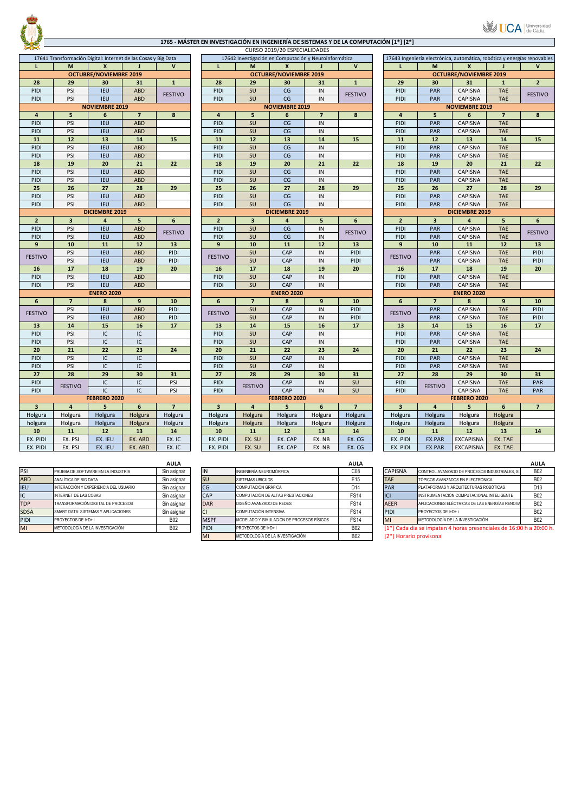

## **1765 ‐ MÁSTER EN INVESTIGACIÓN EN INGENIERÍA DE SISTEMAS Y DE LA COMPUTACIÓN [1\*] [2\*]**

|                |                         |                                                                |                         |                                    |                |                | CONSO LOTS/LO LUI LUIN   |  |
|----------------|-------------------------|----------------------------------------------------------------|-------------------------|------------------------------------|----------------|----------------|--------------------------|--|
|                |                         | 17641 Transformación Digital: Internet de las Cosas y Big Data |                         | 17642 Investigación en Computación |                |                |                          |  |
| L              | M                       | X                                                              |                         | V                                  | L              | M              | X                        |  |
|                |                         | <b>OCTUBRE/NOVIEMBRE 2019</b>                                  |                         |                                    |                |                | <b>OCTUBRE/NOVIEMBRI</b> |  |
| 28             | 29                      | 30                                                             | 31                      | $\mathbf{1}$                       | 28             | 29             | 30                       |  |
| PIDI           | PSI                     | <b>IEU</b>                                                     | <b>ABD</b>              |                                    | PIDI           | SU             | CG                       |  |
| PIDI           | PSI                     | <b>IEU</b>                                                     | <b>ABD</b>              | <b>FESTIVO</b>                     | PIDI           | SU             | CG                       |  |
|                |                         | <b>NOVIEMBRE 2019</b>                                          |                         |                                    |                |                | <b>NOVIEMBRE 2019</b>    |  |
| 4              | 5                       | 6                                                              | $\overline{\mathbf{z}}$ | 8                                  | $\overline{4}$ | 5              | 6                        |  |
| PIDI           | PSI                     | <b>IEU</b>                                                     | <b>ABD</b>              |                                    | PIDI           | SU             | CG                       |  |
| PIDI           | PSI                     | <b>IEU</b>                                                     | <b>ABD</b>              |                                    | PIDI           | SU             | CG                       |  |
| 11             | 12                      | 13                                                             | 14                      | 15                                 | 11             | 12             | 13                       |  |
| PIDI           | PSI                     | <b>IEU</b>                                                     | <b>ABD</b>              |                                    | PIDI           | SU             | CG                       |  |
| PIDI           | PSI                     | <b>IEU</b>                                                     | <b>ABD</b>              |                                    | PIDI           | SU             | CG                       |  |
| 18             | 19                      | 20                                                             | 21                      | 22                                 | 18             | 19             | 20                       |  |
| PIDI           | PSI                     | <b>IEU</b>                                                     | ABD                     |                                    | PIDI           | SU             | CG                       |  |
| PIDI           | PSI                     | <b>IEU</b>                                                     | ABD                     |                                    | PIDI           | SU             | CG                       |  |
| 25             | 26                      | 27                                                             | 28                      | 29                                 | 25             | 26             | 27                       |  |
| PIDI           | PSI                     | <b>IEU</b>                                                     | <b>ABD</b>              |                                    | PIDI           | SU             | CG                       |  |
| PIDI           | PSI                     | <b>IEU</b>                                                     | <b>ABD</b>              |                                    | PIDI           | SU             | CG                       |  |
|                |                         | DICIEMBRE 2019                                                 |                         |                                    |                |                | <b>DICIEMBRE 2019</b>    |  |
| $\overline{2}$ | $\overline{\mathbf{3}}$ | $\overline{\mathbf{4}}$                                        | 5                       | 6                                  | $\overline{2}$ | 3              | $\overline{4}$           |  |
| PIDI           | PSI                     | <b>IEU</b>                                                     | <b>ABD</b>              |                                    | PIDI           | SU             | CG                       |  |
| PIDI           | PSI                     | <b>IEU</b>                                                     | <b>ABD</b>              | <b>FESTIVO</b>                     | PIDI           | SU             | CG                       |  |
| 9              | 10                      | 11                                                             | 12                      | 13                                 | 9              | 10             | 11                       |  |
|                | PSI                     | <b>IEU</b>                                                     | ABD                     | PIDI                               |                | SU             | CAP                      |  |
| <b>FESTIVO</b> | PSI                     | <b>IEU</b>                                                     | <b>ABD</b>              | PIDI                               | <b>FESTIVO</b> | SU             | CAP                      |  |
| 16             | 17                      | 18                                                             | 19                      | 20                                 | 16             | 17             | 18                       |  |
| PIDI           | PSI                     | <b>IEU</b>                                                     | <b>ABD</b>              |                                    | PIDI           | SU             | CAP                      |  |
| PIDI           | PSI                     | <b>IEU</b>                                                     | <b>ABD</b>              |                                    | PIDI           | SU             | CAP                      |  |
|                |                         | <b>ENERO 2020</b>                                              |                         |                                    |                |                | <b>ENERO 2020</b>        |  |
| 6              | $\overline{7}$          | 8                                                              | 9                       | 10                                 | 6              | $\overline{7}$ | 8                        |  |
|                | PSI                     | <b>IEU</b>                                                     | ABD                     | PIDI                               |                | SU             | CAP                      |  |
| <b>FESTIVO</b> | PSI                     | <b>IEU</b>                                                     | <b>ABD</b>              | PIDI                               | <b>FESTIVO</b> | SU             | CAP                      |  |
| 13             | 14                      | 15                                                             | 16                      | 17                                 | 13             | 14             | 15                       |  |
| PIDI           | PSI                     | IC                                                             | IC                      |                                    | PIDI           | SU             | CAP                      |  |
| PIDI           | PSI                     | IC                                                             | IC                      |                                    | PIDI           | SU             | CAP                      |  |
| 20             | 21                      | 22                                                             | 23                      | 24                                 | 20             | 21             | 22                       |  |
| PIDI           | PSI                     | IC                                                             | IC                      |                                    | PIDI           | SU             | CAP                      |  |
| PIDI           | PSI                     | IC                                                             | IC                      |                                    | PIDI           | SU             | CAP                      |  |
| 27             | 28                      | 29                                                             | 30                      | 31                                 | 27             | 28             | 29                       |  |
| PIDI           |                         | IC                                                             | IC                      | PSI                                | PIDI           |                | CAP                      |  |
| PIDI           | <b>FESTIVO</b>          | IC                                                             | IC                      | PSI                                | PIDI           | <b>FESTIVO</b> | CAP                      |  |
|                | FEBRERO 2020            |                                                                |                         |                                    | FEBRERO 2020   |                |                          |  |
| 3              | $\overline{4}$          | 5                                                              | 6                       | $\overline{\phantom{a}}$           | 3              | 4              | 5                        |  |
| Holgura        | Holgura                 | Holgura                                                        | Holgura                 | Holgura                            | Holgura        | Holgura        | Holgura                  |  |
| holgura        | Holgura                 | Holgura                                                        | Holgura                 | Holgura                            | Holgura        | Holgura        | Holgura                  |  |
| 10             | 11                      | 12                                                             | 13                      | 14                                 | 10             | 11             | 12                       |  |
| EX. PIDI       | EX. PSI                 | EX. IEU                                                        | EX. ABD                 | EX. IC                             | EX. PIDI       | EX. SU         | EX. CAP                  |  |
| EX. PIDI       | EX. PSI                 | EX. IEU                                                        | EX. ABD                 | EX. IC                             | EX. PIDI       | EX. SU         | EX. CAP                  |  |
|                |                         |                                                                |                         |                                    |                |                |                          |  |

|             |                                       | <b>AULA</b> |             |                                           | <b>AULA</b>     |                |                                                                    | <b>AULA</b>     |
|-------------|---------------------------------------|-------------|-------------|-------------------------------------------|-----------------|----------------|--------------------------------------------------------------------|-----------------|
| PSI         | PRUEBA DE SOFTWARE EN LA INDUSTRIA    | Sin asignar | IN          | INGENIERÍA NEUROMÓRFICA                   | CO8             | <b>CAPISNA</b> | CONTROL AVANZADO DE PROCESOS INDUSTRIALES, SI                      | <b>B02</b>      |
| <b>ABD</b>  | ANALÍTICA DE BIG DATA                 | Sin asignar | <b>SU</b>   | <b>ISISTEMAS UBICUOS</b>                  | E15             | <b>TAE</b>     | TÓPICOS AVANZADOS EN ELECTRÓNICA                                   | <b>B02</b>      |
| <b>IEU</b>  | INTERACCIÓN Y EXPERIENCIA DEL USUARIO | Sin asignar | CG          | COMPUTACIÓN GRÁFICA                       | D <sub>14</sub> | PAR            | PLATAFORMAS Y ARQUITECTURAS ROBÓTICAS                              | D <sub>13</sub> |
| IC          | INTERNET DE LAS COSAS                 | Sin asignar | CAP         | COMPUTACIÓN DE ALTAS PRESTACIONES         | <b>FS14</b>     | <b>ICI</b>     | INSTRUMENTACIÓN COMPUTACIONAL INTELIGENTE                          | <b>B02</b>      |
| <b>TDP</b>  | TRANSFORMACIÓN DIGITAL DE PROCESOS    | Sin asignar | <b>DAR</b>  | DISEÑO AVANZADO DE REDES                  | <b>FS14</b>     | <b>AEER</b>    | APLICACIONES ELÉCTRICAS DE LAS ENERGÍAS RENOVA                     | <b>B02</b>      |
| <b>SDSA</b> | SMART DATA: SISTEMAS Y APLICACIONES   | Sin asignar | СI          | COMPUTACIÓN INTENSIVA                     | <b>FS14</b>     | PIDI           | <b>PROYECTOS DE I+D+ i</b>                                         | <b>B02</b>      |
| <b>PIDI</b> | <b>PROYECTOS DE I+D+i</b>             | <b>B02</b>  | <b>MSPF</b> | MODELADO Y SIMULACIÓN DE PROCESOS FÍSICOS | <b>FS14</b>     | MI             | METODOLOGÍA DE LA INVESTIGACIÓN                                    | <b>B02</b>      |
| MI          | METODOLOGÍA DE LA INVESTIGACIÓN       | <b>B02</b>  | <b>PIDI</b> | <b>PROYECTOS DE I+D+ i</b>                | <b>B02</b>      |                | [1*] Cada dia se impaten 4 horas presenciales de 16:00 h a 20:00 h |                 |
|             |                                       |             |             |                                           | - - -           |                |                                                                    |                 |

|                         |                                                                |                               |                |                |                         |                         | CURSO 2019/20 ESPECIALIDADES  |                                                       |                |                         |                         |                                                                          |                         |                |  |  |
|-------------------------|----------------------------------------------------------------|-------------------------------|----------------|----------------|-------------------------|-------------------------|-------------------------------|-------------------------------------------------------|----------------|-------------------------|-------------------------|--------------------------------------------------------------------------|-------------------------|----------------|--|--|
|                         | 17641 Transformación Digital: Internet de las Cosas y Big Data |                               |                |                |                         |                         |                               | 17642 Investigación en Computación y Neuroinformática |                |                         |                         | 17643 Ingeniería electrónica, automática, robótica y energías renovables |                         |                |  |  |
| L                       | M                                                              | $\boldsymbol{x}$              |                | $\mathsf{v}$   | L                       | M                       | X                             |                                                       | $\mathsf{v}$   | г                       | M                       | $\boldsymbol{x}$                                                         |                         | $\mathbf v$    |  |  |
|                         |                                                                | <b>OCTUBRE/NOVIEMBRE 2019</b> |                |                |                         |                         | <b>OCTUBRE/NOVIEMBRE 2019</b> |                                                       |                |                         |                         | <b>OCTUBRE/NOVIEMBRE 2019</b>                                            |                         |                |  |  |
| 28                      | 29                                                             | 30                            | 31             | $\mathbf{1}$   | 28                      | 29                      | 30                            | 31                                                    | $\mathbf{1}$   | 29                      | 30                      | 31                                                                       | $\mathbf{1}$            | $\overline{2}$ |  |  |
| PIDI                    | PSI                                                            | <b>IEU</b>                    | <b>ABD</b>     |                | PIDI                    | SU                      | CG                            | IN                                                    |                | PIDI                    | PAR                     | CAPISNA                                                                  | <b>TAE</b>              |                |  |  |
| PIDI                    | PSI                                                            | <b>IEU</b>                    | <b>ABD</b>     | <b>FESTIVO</b> | PIDI                    | SU                      | CG                            | IN                                                    | <b>FESTIVO</b> | PIDI                    | PAR                     | CAPISNA                                                                  | <b>TAE</b>              | <b>FESTIVO</b> |  |  |
|                         |                                                                | <b>NOVIEMBRE 2019</b>         |                |                |                         |                         | <b>NOVIEMBRE 2019</b>         |                                                       |                |                         |                         | <b>NOVIEMBRE 2019</b>                                                    |                         |                |  |  |
| $\overline{4}$          | 5                                                              | 6                             | $\overline{7}$ | 8              | $\overline{4}$          | 5                       | 6                             | $\overline{\mathbf{z}}$                               | 8              | $\overline{4}$          | 5                       | 6                                                                        | $\overline{\mathbf{z}}$ | 8              |  |  |
| PIDI                    | PSI                                                            | <b>IEU</b>                    | <b>ABD</b>     |                | PIDI                    | SU                      | CG                            | IN                                                    |                | PIDI                    | PAR                     | CAPISNA                                                                  | <b>TAE</b>              |                |  |  |
| PIDI                    | PSI                                                            | <b>IEU</b>                    | <b>ABD</b>     |                | PIDI                    | SU                      | CG                            | IN                                                    |                | PIDI                    | PAR                     | CAPISNA                                                                  | <b>TAE</b>              |                |  |  |
| 11                      | 12                                                             | 13                            | 14             | 15             | 11                      | 12                      | 13                            | 14                                                    | 15             | 11                      | 12                      | 13                                                                       | 14                      | 15             |  |  |
| PIDI                    | PSI                                                            | <b>IEU</b>                    | <b>ABD</b>     |                | PIDI                    | SU                      | CG                            | IN                                                    |                | PIDI                    | PAR                     | CAPISNA                                                                  | <b>TAE</b>              |                |  |  |
| PIDI                    | PSI                                                            | <b>IEU</b>                    | <b>ABD</b>     |                | PIDI                    | SU                      | CG                            | IN                                                    |                | PIDI                    | PAR                     | CAPISNA                                                                  | <b>TAE</b>              |                |  |  |
| 18                      | 19                                                             | 20                            | 21             | 22             | 18                      | 19                      | 20                            | 21                                                    | 22             | 18                      | 19                      | 20                                                                       | 21                      | 22             |  |  |
| PIDI                    | PSI                                                            | <b>IEU</b>                    | <b>ABD</b>     |                | PIDI                    | SU                      | CG                            | IN                                                    |                | PIDI                    | PAR                     | CAPISNA                                                                  | <b>TAE</b>              |                |  |  |
| PIDI                    | PSI                                                            | <b>IEU</b>                    | <b>ABD</b>     |                | PIDI                    | SU                      | CG                            | IN                                                    |                | PIDI                    | PAR                     | CAPISNA                                                                  | <b>TAE</b>              |                |  |  |
| 25                      | 26                                                             | 27                            | 28             | 29             | 25                      | 26                      | 27                            | 28                                                    | 29             | 25                      | 26                      | 27                                                                       | 28                      | 29             |  |  |
| PIDI                    | PSI                                                            | <b>IEU</b>                    | <b>ABD</b>     |                | PIDI                    | SU                      | CG                            | IN                                                    |                | PIDI                    | PAR                     | CAPISNA                                                                  | <b>TAE</b>              |                |  |  |
| PIDI                    | PSI                                                            | <b>IEU</b>                    | <b>ABD</b>     |                | PIDI                    | SU                      | CG                            | IN                                                    |                | PIDI                    | PAR                     | CAPISNA                                                                  | <b>TAE</b>              |                |  |  |
|                         |                                                                | <b>DICIEMBRE 2019</b>         |                |                |                         |                         | <b>DICIEMBRE 2019</b>         |                                                       |                | <b>DICIEMBRE 2019</b>   |                         |                                                                          |                         |                |  |  |
| $\overline{2}$          | $\overline{\mathbf{3}}$                                        | $\overline{4}$                | 5              | 6              | $\overline{2}$          | $\overline{\mathbf{3}}$ | $\overline{4}$                | 5                                                     | 6              | $\overline{2}$          | $\overline{\mathbf{3}}$ | $\overline{a}$                                                           | 5                       | 6              |  |  |
| PIDI                    | PSI                                                            | <b>IEU</b>                    | <b>ABD</b>     |                | PIDI                    | SU                      | CG                            | IN                                                    |                | PIDI                    | PAR                     | CAPISNA                                                                  | <b>TAE</b>              |                |  |  |
| PIDI                    | PSI                                                            | <b>IEU</b>                    | <b>ABD</b>     | <b>FESTIVO</b> | PIDI                    | SU                      | CG                            | IN                                                    | <b>FESTIVO</b> | PIDI                    | PAR                     | CAPISNA                                                                  | <b>TAE</b>              | <b>FESTIVO</b> |  |  |
| 9                       | 10                                                             | 11                            | 12             | 13             | 9                       | 10                      | 11                            | $12$                                                  | 13             | 9                       | 10                      | 11                                                                       | 12                      | 13             |  |  |
|                         | PSI                                                            | <b>IEU</b>                    | <b>ABD</b>     | PIDI           |                         | SU                      | CAP                           | IN                                                    | PIDI           |                         | PAR                     | CAPISNA                                                                  | <b>TAE</b>              | PIDI           |  |  |
| <b>FESTIVO</b>          | PSI                                                            | <b>IEU</b>                    | <b>ABD</b>     | PIDI           | <b>FESTIVO</b>          | SU                      | CAP                           | IN                                                    | PIDI           | <b>FESTIVO</b>          | PAR                     | CAPISNA                                                                  | <b>TAE</b>              | PIDI           |  |  |
| 16                      | 17                                                             | 18                            | 19             | 20             | 16                      | 17                      | 18                            | 19                                                    | 20             | 16                      | 17                      | 18                                                                       | 19                      | 20             |  |  |
| PIDI                    | PSI                                                            | <b>IEU</b>                    | <b>ABD</b>     |                | PIDI                    | SU                      | CAP                           | IN                                                    |                | PIDI                    | PAR                     | CAPISNA                                                                  | <b>TAE</b>              |                |  |  |
| PIDI                    | PSI                                                            | <b>IEU</b>                    | <b>ABD</b>     |                | PIDI                    | SU                      | CAP                           | IN                                                    |                | PIDI                    | PAR                     | CAPISNA                                                                  | <b>TAE</b>              |                |  |  |
|                         |                                                                | <b>ENERO 2020</b>             |                |                |                         |                         | <b>ENERO 2020</b>             |                                                       |                |                         |                         | <b>ENERO 2020</b>                                                        |                         |                |  |  |
| 6                       | $\overline{7}$                                                 | 8                             | 9              | 10             | 6                       | $\overline{7}$          | 8                             | 9                                                     | 10             | 6                       | $\overline{7}$          | 8                                                                        | 9                       | 10             |  |  |
|                         | PSI                                                            | <b>IEU</b>                    | <b>ABD</b>     | PIDI           |                         | SU                      | CAP                           | IN                                                    | PIDI           |                         | PAR                     | CAPISNA                                                                  | <b>TAE</b>              | PIDI           |  |  |
| <b>FESTIVO</b>          | PSI                                                            | <b>IEU</b>                    | <b>ABD</b>     | PIDI           | <b>FESTIVO</b>          | SU                      | CAP                           | IN                                                    | PIDI           | <b>FESTIVO</b>          | PAR                     | CAPISNA                                                                  | <b>TAE</b>              | PIDI           |  |  |
| 13                      | 14                                                             | 15                            | 16             | 17             | 13                      | 14                      | 15                            | 16                                                    | 17             | 13                      | 14                      | 15                                                                       | 16                      | 17             |  |  |
| PIDI                    | PSI                                                            | IC                            | IC             |                | PIDI                    | SU                      | CAP                           | IN                                                    |                | PIDI                    | PAR                     | CAPISNA                                                                  | <b>TAE</b>              |                |  |  |
| PIDI                    | PSI                                                            | IC                            | ${\sf IC}$     |                | PIDI                    | SU                      | CAP                           | IN                                                    |                | PIDI                    | PAR                     | <b>CAPISNA</b>                                                           | <b>TAE</b>              |                |  |  |
| 20                      | 21                                                             | 22                            | 23             | 24             | 20                      | 21                      | 22                            | 23                                                    | 24             | 20                      | 21                      | 22                                                                       | 23                      | 24             |  |  |
| PIDI                    | PSI                                                            | IC                            | IC             |                | PIDI                    | SU                      | CAP                           | IN                                                    |                | PIDI                    | PAR                     | CAPISNA                                                                  | <b>TAE</b>              |                |  |  |
| PIDI                    | PSI                                                            | IC                            | IC             |                | PIDI                    | SU                      | CAP                           | IN                                                    |                | PIDI                    | PAR                     | CAPISNA                                                                  | <b>TAE</b>              |                |  |  |
| 27                      | 28                                                             | 29                            | 30             | 31             | 27                      | 28                      | 29                            | 30                                                    | 31             | 27                      | 28                      | 29                                                                       | 30                      | 31             |  |  |
| PIDI                    |                                                                | IC                            | IC             | PSI            | PIDI                    |                         | CAP                           | IN                                                    | SU             | PIDI                    |                         | CAPISNA                                                                  | <b>TAE</b>              | PAR            |  |  |
| PIDI                    | <b>FESTIVO</b>                                                 | IC                            | IC             | PSI            | PIDI                    | <b>FESTIVO</b>          | CAP                           | IN                                                    | SU             | PIDI                    | <b>FESTIVO</b>          | CAPISNA                                                                  | <b>TAE</b>              | PAR            |  |  |
|                         |                                                                | FEBRERO 2020                  |                |                | FEBRERO 2020            |                         |                               |                                                       |                |                         | FEBRERO 2020            |                                                                          |                         |                |  |  |
| $\overline{\mathbf{3}}$ | $\overline{4}$                                                 | 5                             | 6              | $\overline{7}$ | $\overline{\mathbf{3}}$ | $\overline{4}$          | 5                             | 6                                                     | $\overline{7}$ | $\overline{\mathbf{3}}$ | $\overline{4}$          | 5                                                                        | 6                       | $\overline{7}$ |  |  |
| Holgura                 | Holgura                                                        | Holgura                       | Holgura        | Holgura        | Holgura                 | Holgura                 | Holgura                       | Holgura                                               | Holgura        | Holgura                 | Holgura                 | Holgura                                                                  | Holgura                 |                |  |  |
| holgura                 | Holgura                                                        | Holgura                       | Holgura        | Holgura        | Holgura                 | Holgura                 | Holgura                       | Holgura                                               | Holgura        | Holgura                 | Holgura                 | Holgura                                                                  | Holgura                 |                |  |  |
| 10                      | 11                                                             | 12                            | 13             | 14             | 10                      | 11                      | $12$                          | 13                                                    | 14             | 10                      | 11                      | 12                                                                       | 13                      | 14             |  |  |
| EX. PIDI                | EX. PSI                                                        | EX. IEU                       | EX. ABD        | EX. IC         | EX. PIDI                | EX. SU                  | EX. CAP                       | EX. NB                                                | EX. CG         | EX. PIDI                | EX.PAR                  | <b>EXCAPISNA</b>                                                         | EX. TAE                 |                |  |  |
| EX. PIDI                | EX. PSI                                                        | EX. IEU                       | EX. ABD        | EX. IC         | EX. PIDI                | EX. SU                  | EX. CAP                       | EX. NB                                                | EX. CG         | EX. PIDI                | EX.PAR                  | EXCAPISNA                                                                | EX. TAE                 |                |  |  |
|                         |                                                                |                               |                |                |                         |                         |                               |                                                       |                |                         |                         |                                                                          |                         |                |  |  |

|                                       | <b>AULA</b> |             |                                           | <b>AULA</b> |                         |                                                                 | <b>AULA</b>     |
|---------------------------------------|-------------|-------------|-------------------------------------------|-------------|-------------------------|-----------------------------------------------------------------|-----------------|
| PRUEBA DE SOFTWARE EN LA INDUSTRIA    | Sin asignar | IN          | INGENIERÍA NEUROMÓRFICA                   | CO8         | <b>CAPISNA</b>          | CONTROL AVANZADO DE PROCESOS INDUSTRIALES. SI                   | <b>B02</b>      |
| ANALÍTICA DE BIG DATA                 | Sin asignar | <b>SU</b>   | <b>ISISTEMAS UBICUOS</b>                  | E15         | <b>TAE</b>              | TÓPICOS AVANZADOS EN ELECTRÓNICA                                | <b>B02</b>      |
| INTERACCIÓN Y EXPERIENCIA DEL USUARIO | Sin asignar | CG          | COMPUTACIÓN GRÁFICA                       | D14         | <b>PAR</b>              | <b>PLATAFORMAS Y ARQUITECTURAS ROBÓTICAS</b>                    | D <sub>13</sub> |
| <b>INTERNET DE LAS COSAS</b>          | Sin asignar | <b>CAP</b>  | COMPUTACIÓN DE ALTAS PRESTACIONES         | <b>FS14</b> | C                       | INSTRUMENTACIÓN COMPUTACIONAL INTELIGENTE                       | <b>B02</b>      |
| TRANSFORMACIÓN DIGITAL DE PROCESOS    | Sin asignar | <b>DAR</b>  | DISEÑO AVANZADO DE REDES                  | <b>FS14</b> | <b>AEER</b>             | APLICACIONES ELÉCTRICAS DE LAS ENERGÍAS RENOVA                  | <b>B02</b>      |
| SMART DATA: SISTEMAS Y APLICACIONES   | Sin asignar |             | COMPUTACIÓN INTENSIVA                     | <b>FS14</b> | PIDI                    | <b>PROYECTOS DE I+D+ i</b>                                      | <b>B02</b>      |
| PROYECTOS DE I+D+ i                   | <b>B02</b>  | <b>MSPF</b> | MODELADO Y SIMULACIÓN DE PROCESOS FÍSICOS | <b>FS14</b> | MI                      | METODOLOGÍA DE LA INVESTIGACIÓN                                 | <b>B02</b>      |
| METODOLOGÍA DE LA INVESTIGACIÓN       | <b>B02</b>  | <b>PIDI</b> | <b>PROYECTOS DE I+D+ i</b>                | <b>B02</b>  |                         | [1*] Cada dia se impaten 4 horas presenciales de 16:00 h a 20:0 |                 |
|                                       |             | M           | METODOLOGÍA DE LA INVESTIGACIÓN           | <b>B02</b>  | [2*] Horario provisonal |                                                                 |                 |

| 019, 20 LST LCM (LIDI (DLS<br>en Computación y Neuroinformática |                |                | 17643 Ingeniería electrónica, automática, robótica y energías renovables |                |                               |                |                |  |  |
|-----------------------------------------------------------------|----------------|----------------|--------------------------------------------------------------------------|----------------|-------------------------------|----------------|----------------|--|--|
| X                                                               |                | $\mathbf v$    | L                                                                        | M              | X                             |                |                |  |  |
| <b>RE/NOVIEMBRE 2019</b>                                        |                |                |                                                                          |                | <b>OCTUBRE/NOVIEMBRE 2019</b> |                |                |  |  |
| 30                                                              | 31             | $\mathbf{1}$   | 29                                                                       | 30             | 31                            | $\mathbf{1}$   | $\overline{2}$ |  |  |
| CG                                                              | IN             |                | PIDI                                                                     | PAR            | <b>CAPISNA</b>                | <b>TAE</b>     |                |  |  |
| CG                                                              | IN             | <b>FESTIVO</b> | PIDI                                                                     | PAR            | <b>CAPISNA</b>                | <b>TAE</b>     | <b>FESTIVO</b> |  |  |
| <b>OVIEMBRE 2019</b>                                            |                |                |                                                                          |                | <b>NOVIEMBRE 2019</b>         |                |                |  |  |
| 6                                                               | $\overline{7}$ | 8              | $\overline{a}$                                                           | 5              | 6                             | $\overline{7}$ | 8              |  |  |
| CG                                                              | IN             |                | PIDI                                                                     | PAR            | CAPISNA                       | <b>TAE</b>     |                |  |  |
| CG                                                              | IN             |                | PIDI                                                                     | PAR            | <b>CAPISNA</b>                | <b>TAE</b>     |                |  |  |
| 13                                                              | 14             | 15             | 11                                                                       | 12             | 13                            | 14             | 15             |  |  |
| CG                                                              | IN             |                | PIDI                                                                     | <b>PAR</b>     | <b>CAPISNA</b>                | <b>TAE</b>     |                |  |  |
| CG                                                              | IN             |                | PIDI                                                                     | PAR            | CAPISNA                       | <b>TAE</b>     |                |  |  |
| 20                                                              | 21             | 22             | 18                                                                       | 19             | 20                            | 21             | 22             |  |  |
| CG                                                              | IN             |                | PIDI                                                                     | PAR            | <b>CAPISNA</b>                | <b>TAE</b>     |                |  |  |
| CG                                                              | IN             |                | PIDI                                                                     | PAR            | <b>CAPISNA</b>                | <b>TAE</b>     |                |  |  |
| 27                                                              | 28             | 29             | 25                                                                       | 26             | 27                            | 28             | 29             |  |  |
| CG                                                              | IN             |                | PIDI                                                                     | PAR            | CAPISNA                       | <b>TAE</b>     |                |  |  |
| CG                                                              | IN             |                | PIDI                                                                     | PAR            | <b>CAPISNA</b>                | <b>TAE</b>     |                |  |  |
| <b>ICIEMBRE 2019</b>                                            |                |                |                                                                          |                | <b>DICIEMBRE 2019</b>         |                |                |  |  |
| 4                                                               | 5              | 6              | $\overline{2}$                                                           | 3              | $\overline{4}$                | 5              | 6              |  |  |
| CG                                                              | IN             | <b>FESTIVO</b> | PIDI                                                                     | PAR            | CAPISNA                       | <b>TAE</b>     | <b>FESTIVO</b> |  |  |
| CG                                                              | IN             |                | PIDI                                                                     | PAR            | CAPISNA                       | <b>TAE</b>     |                |  |  |
| 11                                                              | 12             | 13             | 9                                                                        | 10             | 11                            | 12             | 13             |  |  |
| CAP                                                             | IN             | PIDI           | <b>FESTIVO</b>                                                           | PAR            | CAPISNA                       | <b>TAE</b>     | PIDI           |  |  |
| CAP                                                             | IN             | PIDI           |                                                                          | PAR            | CAPISNA                       | <b>TAE</b>     | PIDI           |  |  |
| 18                                                              | 19             | 20             | 16                                                                       | 17             | 18                            | 19             | 20             |  |  |
| CAP                                                             | IN             |                | PIDI                                                                     | PAR            | CAPISNA                       | <b>TAE</b>     |                |  |  |
| CAP                                                             | IN             |                | PIDI                                                                     | PAR            | CAPISNA                       | <b>TAE</b>     |                |  |  |
| <b>ENERO 2020</b>                                               |                |                |                                                                          |                | <b>ENERO 2020</b>             |                |                |  |  |
| 8                                                               | 9              | 10             | 6                                                                        | $\overline{7}$ | 8                             | 9              | 10             |  |  |
| CAP                                                             | IN             | PIDI           | <b>FESTIVO</b>                                                           | PAR            | CAPISNA                       | <b>TAE</b>     | PIDI           |  |  |
| CAP                                                             | IN             | PIDI           |                                                                          | PAR            | CAPISNA                       | <b>TAE</b>     | PIDI           |  |  |
| 15                                                              | 16             | 17             | 13                                                                       | 14             | 15                            | 16             | 17             |  |  |
| CAP                                                             | IN             |                | PIDI                                                                     | PAR            | CAPISNA                       | <b>TAE</b>     |                |  |  |
| CAP                                                             | IN             |                | PIDI                                                                     | PAR            | CAPISNA                       | <b>TAE</b>     |                |  |  |
| 22                                                              | 23             | 24             | 20                                                                       | 21             | 22                            | 23             | 24             |  |  |
| CAP                                                             | IN             |                | PIDI                                                                     | PAR            | CAPISNA                       | <b>TAE</b>     |                |  |  |
| CAP                                                             | IN             |                | PIDI                                                                     | PAR            | CAPISNA                       | <b>TAE</b>     |                |  |  |
| 29                                                              | 30             | 31             | 27                                                                       | 28             | 29                            | 30             | 31             |  |  |
| CAP                                                             | IN             | SU             | PIDI                                                                     | <b>FESTIVO</b> | CAPISNA                       | <b>TAE</b>     | PAR            |  |  |
| CAP                                                             | IN             | SU             | PIDI                                                                     |                | <b>CAPISNA</b>                | <b>TAE</b>     | PAR            |  |  |
| FEBRERO 2020                                                    |                |                |                                                                          |                | FEBRERO 2020                  |                |                |  |  |
| 5                                                               | 6              | $\overline{7}$ | 3                                                                        | $\overline{4}$ | 5                             | 6              | $\overline{7}$ |  |  |
| Holgura                                                         | Holgura        | Holgura        | Holgura                                                                  | Holgura        | Holgura                       | Holgura        |                |  |  |
| Holgura                                                         | Holgura        | Holgura        | Holgura                                                                  | Holgura        | Holgura                       | Holgura        |                |  |  |
| 12                                                              | 13             | 14             | 10                                                                       | 11             | 12                            | 13             | 14             |  |  |
| EX. CAP                                                         | EX. NB         | EX. CG         | EX. PIDI                                                                 | EX.PAR         | <b>EXCAPISNA</b>              | EX. TAE        |                |  |  |
| EX. CAP                                                         | EX. NB         | EX. CG         | EX. PIDI                                                                 | EX.PAR         | <b>EXCAPISNA</b>              | EX. TAE        |                |  |  |

UCA | Universidad

|                                                                     |                                                | AULA            |  |  |  |  |  |
|---------------------------------------------------------------------|------------------------------------------------|-----------------|--|--|--|--|--|
| <b>CAPISNA</b>                                                      | CONTROL AVANZADO DE PROCESOS INDUSTRIALES, SI  | <b>B02</b>      |  |  |  |  |  |
| <b>TAE</b>                                                          | TÓPICOS AVANZADOS EN ELECTRÓNICA               | <b>B02</b>      |  |  |  |  |  |
| <b>PAR</b>                                                          | PLATAFORMAS Y ARQUITECTURAS ROBÓTICAS          | D <sub>13</sub> |  |  |  |  |  |
| ICI                                                                 | INSTRUMENTACIÓN COMPUTACIONAL INTELIGENTE      | <b>B02</b>      |  |  |  |  |  |
| <b>AEER</b>                                                         | APLICACIONES ELÉCTRICAS DE LAS ENERGÍAS RENOVA | <b>B02</b>      |  |  |  |  |  |
| PIDI                                                                | PROYECTOS DE I+D+ i                            | <b>B02</b>      |  |  |  |  |  |
| MI                                                                  | METODOLOGÍA DE LA INVESTIGACIÓN                | <b>B02</b>      |  |  |  |  |  |
| [1*] Cada dia se impaten 4 horas presenciales de 16:00 h a 20:00 h. |                                                |                 |  |  |  |  |  |

[2\*] Horario provisonal